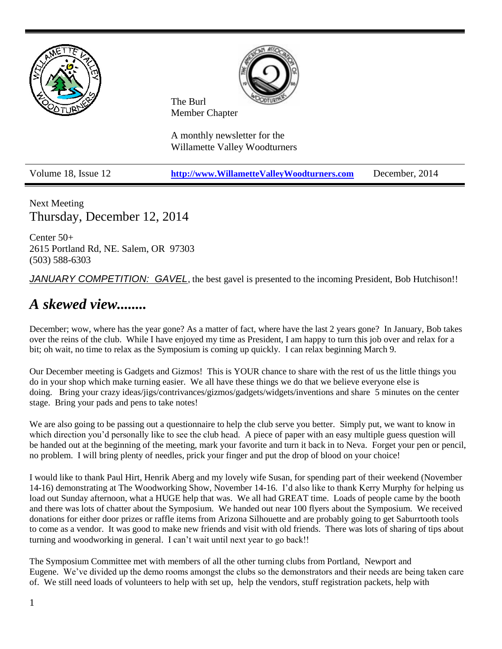

Next Meeting Thursday, December 12, 2014

Center 50+ 2615 Portland Rd, NE. Salem, OR 97303 (503) 588-6303

*JANUARY COMPETITION: GAVEL*, the best gavel is presented to the incoming President, Bob Hutchison!!

# *A skewed view........*

December; wow, where has the year gone? As a matter of fact, where have the last 2 years gone? In January, Bob takes over the reins of the club. While I have enjoyed my time as President, I am happy to turn this job over and relax for a bit; oh wait, no time to relax as the Symposium is coming up quickly. I can relax beginning March 9.

Our December meeting is Gadgets and Gizmos! This is YOUR chance to share with the rest of us the little things you do in your shop which make turning easier. We all have these things we do that we believe everyone else is doing. Bring your crazy ideas/jigs/contrivances/gizmos/gadgets/widgets/inventions and share 5 minutes on the center stage. Bring your pads and pens to take notes!

We are also going to be passing out a questionnaire to help the club serve you better. Simply put, we want to know in which direction you'd personally like to see the club head. A piece of paper with an easy multiple guess question will be handed out at the beginning of the meeting, mark your favorite and turn it back in to Neva. Forget your pen or pencil, no problem. I will bring plenty of needles, prick your finger and put the drop of blood on your choice!

I would like to thank Paul Hirt, Henrik Aberg and my lovely wife Susan, for spending part of their weekend (November 14-16) demonstrating at The Woodworking Show, November 14-16. I'd also like to thank Kerry Murphy for helping us load out Sunday afternoon, what a HUGE help that was. We all had GREAT time. Loads of people came by the booth and there was lots of chatter about the Symposium. We handed out near 100 flyers about the Symposium. We received donations for either door prizes or raffle items from Arizona Silhouette and are probably going to get Saburrtooth tools to come as a vendor. It was good to make new friends and visit with old friends. There was lots of sharing of tips about turning and woodworking in general. I can't wait until next year to go back!!

The Symposium Committee met with members of all the other turning clubs from Portland, Newport and Eugene. We've divided up the demo rooms amongst the clubs so the demonstrators and their needs are being taken care of. We still need loads of volunteers to help with set up, help the vendors, stuff registration packets, help with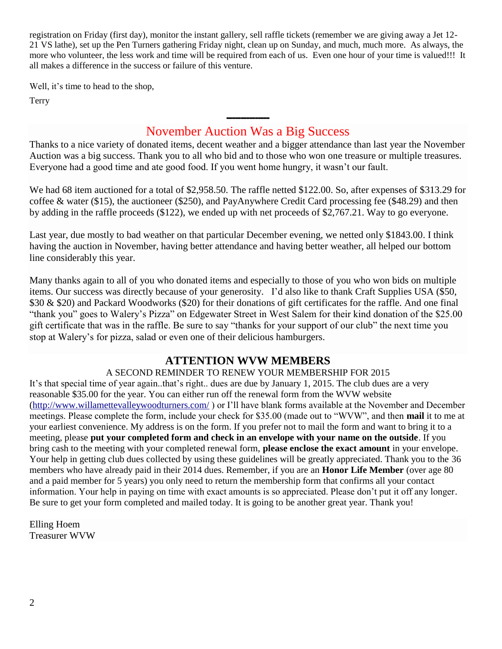registration on Friday (first day), monitor the instant gallery, sell raffle tickets (remember we are giving away a Jet 12- 21 VS lathe), set up the Pen Turners gathering Friday night, clean up on Sunday, and much, much more. As always, the more who volunteer, the less work and time will be required from each of us. Even one hour of your time is valued!!! It all makes a difference in the success or failure of this venture.

Well, it's time to head to the shop,

Terry

## --------------- November Auction Was a Big Success

Thanks to a nice variety of donated items, decent weather and a bigger attendance than last year the November Auction was a big success. Thank you to all who bid and to those who won one treasure or multiple treasures. Everyone had a good time and ate good food. If you went home hungry, it wasn't our fault.

We had 68 item auctioned for a total of \$2,958.50. The raffle netted \$122.00. So, after expenses of \$313.29 for coffee & water (\$15), the auctioneer (\$250), and PayAnywhere Credit Card processing fee (\$48.29) and then by adding in the raffle proceeds (\$122), we ended up with net proceeds of \$2,767.21. Way to go everyone.

Last year, due mostly to bad weather on that particular December evening, we netted only \$1843.00. I think having the auction in November, having better attendance and having better weather, all helped our bottom line considerably this year.

Many thanks again to all of you who donated items and especially to those of you who won bids on multiple items. Our success was directly because of your generosity. I'd also like to thank Craft Supplies USA (\$50, \$30 & \$20) and Packard Woodworks (\$20) for their donations of gift certificates for the raffle. And one final "thank you" goes to Walery's Pizza" on Edgewater Street in West Salem for their kind donation of the \$25.00 gift certificate that was in the raffle. Be sure to say "thanks for your support of our club" the next time you stop at Walery's for pizza, salad or even one of their delicious hamburgers.

## **ATTENTION WVW MEMBERS**

## A SECOND REMINDER TO RENEW YOUR MEMBERSHIP FOR 2015

It's that special time of year again..that's right.. dues are due by January 1, 2015. The club dues are a very reasonable \$35.00 for the year. You can either run off the renewal form from the WVW website [\(http://www.willamettevalleywoodturners.com/](http://www.willamettevalleywoodturners.com/) ) or I'll have blank forms available at the November and December meetings. Please complete the form, include your check for \$35.00 (made out to "WVW", and then **mail** it to me at your earliest convenience. My address is on the form. If you prefer not to mail the form and want to bring it to a meeting, please **put your completed form and check in an envelope with your name on the outside**. If you bring cash to the meeting with your completed renewal form, **please enclose the exact amount** in your envelope. Your help in getting club dues collected by using these guidelines will be greatly appreciated. Thank you to the 36 members who have already paid in their 2014 dues. Remember, if you are an **Honor Life Member** (over age 80 and a paid member for 5 years) you only need to return the membership form that confirms all your contact information. Your help in paying on time with exact amounts is so appreciated. Please don't put it off any longer. Be sure to get your form completed and mailed today. It is going to be another great year. Thank you!

Elling Hoem Treasurer WVW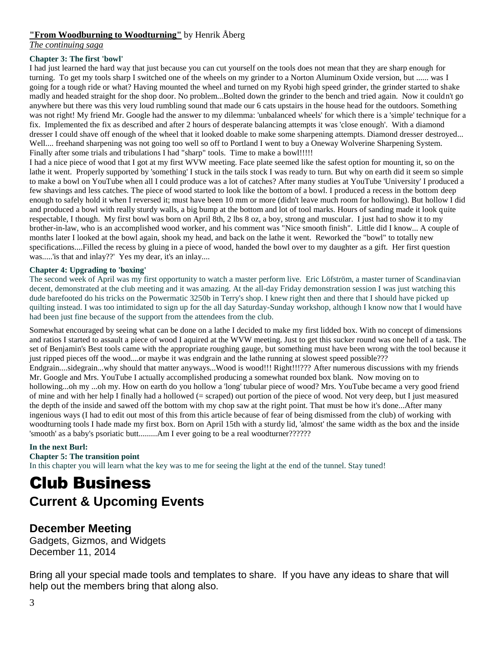### **"From Woodburning to Woodturning"** by Henrik Åberg

*The continuing saga*

### **Chapter 3: The first 'bowl'**

I had just learned the hard way that just because you can cut yourself on the tools does not mean that they are sharp enough for turning. To get my tools sharp I switched one of the wheels on my grinder to a Norton Aluminum Oxide version, but ...... was I going for a tough ride or what? Having mounted the wheel and turned on my Ryobi high speed grinder, the grinder started to shake madly and headed straight for the shop door. No problem...Bolted down the grinder to the bench and tried again. Now it couldn't go anywhere but there was this very loud rumbling sound that made our 6 cats upstairs in the house head for the outdoors. Something was not right! My friend Mr. Google had the answer to my dilemma: 'unbalanced wheels' for which there is a 'simple' technique for a fix. Implemented the fix as described and after 2 hours of desperate balancing attempts it was 'close enough'. With a diamond dresser I could shave off enough of the wheel that it looked doable to make some sharpening attempts. Diamond dresser destroyed... Well.... freehand sharpening was not going too well so off to Portland I went to buy a Oneway Wolverine Sharpening System. Finally after some trials and tribulations I had "sharp" tools. Time to make a bowl!!!!!

I had a nice piece of wood that I got at my first WVW meeting. Face plate seemed like the safest option for mounting it, so on the lathe it went. Properly supported by 'something' I stuck in the tails stock I was ready to turn. But why on earth did it seem so simple to make a bowl on YouTube when all I could produce was a lot of catches? After many studies at YouTube 'University' I produced a few shavings and less catches. The piece of wood started to look like the bottom of a bowl. I produced a recess in the bottom deep enough to safely hold it when I reversed it; must have been 10 mm or more (didn't leave much room for hollowing). But hollow I did and produced a bowl with really sturdy walls, a big bump at the bottom and lot of tool marks. Hours of sanding made it look quite respectable, I though. My first bowl was born on April 8th, 2 lbs 8 oz, a boy, strong and muscular. I just had to show it to my brother-in-law, who is an accomplished wood worker, and his comment was "Nice smooth finish". Little did I know... A couple of months later I looked at the bowl again, shook my head, and back on the lathe it went. Reworked the "bowl" to totally new specifications....Filled the recess by gluing in a piece of wood, handed the bowl over to my daughter as a gift. Her first question was.....'is that and inlay??' Yes my dear, it's an inlay....

#### **Chapter 4: Upgrading to 'boxing'**

The second week of April was my first opportunity to watch a master perform live. Eric Löfström, a master turner of Scandinavian decent, demonstrated at the club meeting and it was amazing. At the all-day Friday demonstration session I was just watching this dude barefooted do his tricks on the Powermatic 3250b in Terry's shop. I knew right then and there that I should have picked up quilting instead. I was too intimidated to sign up for the all day Saturday-Sunday workshop, although I know now that I would have had been just fine because of the support from the attendees from the club.

Somewhat encouraged by seeing what can be done on a lathe I decided to make my first lidded box. With no concept of dimensions and ratios I started to assault a piece of wood I aquired at the WVW meeting. Just to get this sucker round was one hell of a task. The set of Benjamin's Best tools came with the appropriate roughing gauge, but something must have been wrong with the tool because it just ripped pieces off the wood....or maybe it was endgrain and the lathe running at slowest speed possible??? Endgrain....sidegrain...why should that matter anyways...Wood is wood!!! Right!!!??? After numerous discussions with my friends Mr. Google and Mrs. YouTube I actually accomplished producing a somewhat rounded box blank. Now moving on to hollowing...oh my ...oh my. How on earth do you hollow a 'long' tubular piece of wood? Mrs. YouTube became a very good friend of mine and with her help I finally had a hollowed (= scraped) out portion of the piece of wood. Not very deep, but I just measured the depth of the inside and sawed off the bottom with my chop saw at the right point. That must be how it's done...After many ingenious ways (I had to edit out most of this from this article because of fear of being dismissed from the club) of working with woodturning tools I hade made my first box. Born on April 15th with a sturdy lid, 'almost' the same width as the box and the inside 'smooth' as a baby's psoriatic butt.........Am I ever going to be a real woodturner??????

#### **In the next Burl:**

#### **Chapter 5: The transition point**

In this chapter you will learn what the key was to me for seeing the light at the end of the tunnel. Stay tuned!

# Club Business **Current & Upcoming Events**

## **December Meeting**

Gadgets, Gizmos, and Widgets December 11, 2014

Bring all your special made tools and templates to share. If you have any ideas to share that will help out the members bring that along also.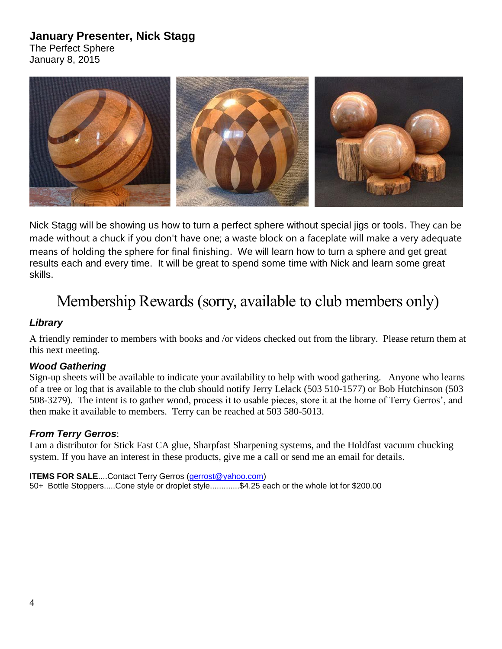# **January Presenter, Nick Stagg**

The Perfect Sphere January 8, 2015



Nick Stagg will be showing us how to turn a perfect sphere without special jigs or tools. They can be made without a chuck if you don't have one; a waste block on a faceplate will make a very adequate means of holding the sphere for final finishing. We will learn how to turn a sphere and get great results each and every time. It will be great to spend some time with Nick and learn some great skills.

# Membership Rewards (sorry, available to club members only)

### *Library*

A friendly reminder to members with books and /or videos checked out from the library. Please return them at this next meeting.

### *Wood Gathering*

Sign-up sheets will be available to indicate your availability to help with wood gathering. Anyone who learns of a tree or log that is available to the club should notify Jerry Lelack (503 510-1577) or Bob Hutchinson (503 508-3279). The intent is to gather wood, process it to usable pieces, store it at the home of Terry Gerros', and then make it available to members. Terry can be reached at 503 580-5013.

### *From Terry Gerros*:

I am a distributor for Stick Fast CA glue, Sharpfast Sharpening systems, and the Holdfast vacuum chucking system. If you have an interest in these products, give me a call or send me an email for details.

**ITEMS FOR SALE....Contact Terry Gerros [\(gerrost@yahoo.com\)](mailto:gerrost@yahoo.com)** 50+ Bottle Stoppers.....Cone style or droplet style.............\$4.25 each or the whole lot for \$200.00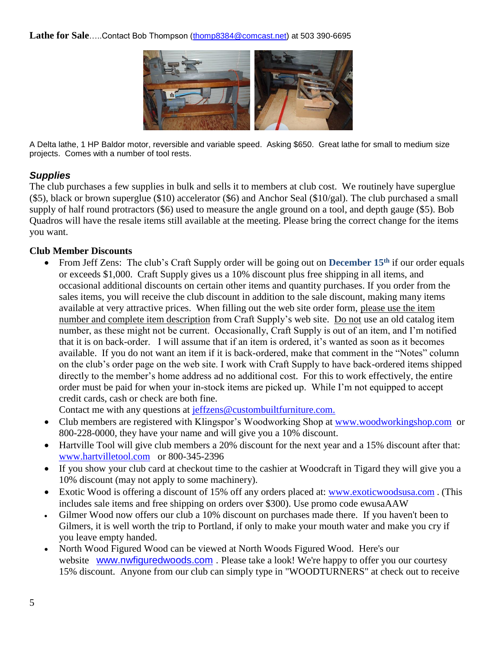Lathe for Sale.....Contact Bob Thompson [\(thomp8384@comcast.net\)](mailto:thomp8384@comcast.net) at 503 390-6695



A Delta lathe, 1 HP Baldor motor, reversible and variable speed. Asking \$650. Great lathe for small to medium size projects. Comes with a number of tool rests.

## *Supplies*

The club purchases a few supplies in bulk and sells it to members at club cost. We routinely have superglue (\$5), black or brown superglue (\$10) accelerator (\$6) and Anchor Seal (\$10/gal). The club purchased a small supply of half round protractors (\$6) used to measure the angle ground on a tool, and depth gauge (\$5). Bob Quadros will have the resale items still available at the meeting. Please bring the correct change for the items you want.

### **Club Member Discounts**

 From Jeff Zens: The club's Craft Supply order will be going out on **December 15th** if our order equals or exceeds \$1,000. Craft Supply gives us a 10% discount plus free shipping in all items, and occasional additional discounts on certain other items and quantity purchases. If you order from the sales items, you will receive the club discount in addition to the sale discount, making many items available at very attractive prices. When filling out the web site order form, please use the item number and complete item description from Craft Supply's web site. Do not use an old catalog item number, as these might not be current. Occasionally, Craft Supply is out of an item, and I'm notified that it is on back-order. I will assume that if an item is ordered, it's wanted as soon as it becomes available. If you do not want an item if it is back-ordered, make that comment in the "Notes" column on the club's order page on the web site. I work with Craft Supply to have back-ordered items shipped directly to the member's home address ad no additional cost. For this to work effectively, the entire order must be paid for when your in-stock items are picked up. While I'm not equipped to accept credit cards, cash or check are both fine.

Contact me with any questions at [jeffzens@custombuiltfurniture.com.](mailto:jeffzens@custombuiltfurniture.com.)

- Club members are registered with Klingspor's Woodworking Shop at [www.woodworkingshop.com](http://www.woodworkingshop.com/) or 800-228-0000, they have your name and will give you a 10% discount.
- Hartville Tool will give club members a 20% discount for the next year and a 15% discount after that: [www.hartvilletool.com](http://www.hartvilletool.com/) or 800-345-2396
- If you show your club card at checkout time to the cashier at Woodcraft in Tigard they will give you a 10% discount (may not apply to some machinery).
- Exotic Wood is offering a discount of 15% off any orders placed at: [www.exoticwoodsusa.com](http://www.exoticwoodsusa.com/) . (This includes sale items and free shipping on orders over \$300). Use promo code ewusaAAW
- Gilmer Wood now offers our club a 10% discount on purchases made there. If you haven't been to Gilmers, it is well worth the trip to Portland, if only to make your mouth water and make you cry if you leave empty handed.
- North Wood Figured Wood can be viewed at North Woods Figured Wood. Here's our website [www.nwfiguredwoods.com](http://www.nwfiguredwoods.com/). Please take a look! We're happy to offer you our courtesy 15% discount. Anyone from our club can simply type in "WOODTURNERS" at check out to receive